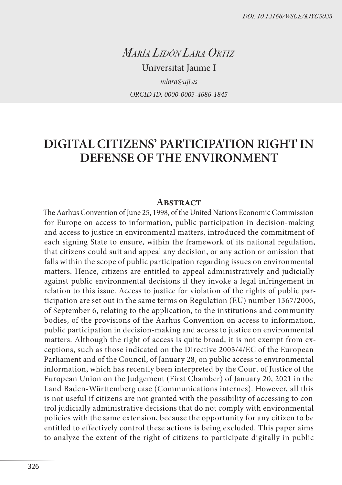*María Lidón Lara Ortiz*

Universitat Jaume I *mlara@uji.es ORCID ID: 0000-0003-4686-1845*

# **DIGITAL CITIZENS' PARTICIPATION RIGHT IN DEFENSE OF THE ENVIRONMENT**

#### **ABSTRACT**

The Aarhus Convention of June 25, 1998, of the United Nations Economic Commission for Europe on access to information, public participation in decision-making and access to justice in environmental matters, introduced the commitment of each signing State to ensure, within the framework of its national regulation, that citizens could suit and appeal any decision, or any action or omission that falls within the scope of public participation regarding issues on environmental matters. Hence, citizens are entitled to appeal administratively and judicially against public environmental decisions if they invoke a legal infringement in relation to this issue. Access to justice for violation of the rights of public participation are set out in the same terms on Regulation (EU) number 1367/2006, of September 6, relating to the application, to the institutions and community bodies, of the provisions of the Aarhus Convention on access to information, public participation in decision-making and access to justice on environmental matters. Although the right of access is quite broad, it is not exempt from exceptions, such as those indicated on the Directive 2003/4/EC of the European Parliament and of the Council, of January 28, on public access to environmental information, which has recently been interpreted by the Court of Justice of the European Union on the Judgement (First Chamber) of January 20, 2021 in the Land Baden-Württemberg case (Communications internes). However, all this is not useful if citizens are not granted with the possibility of accessing to control judicially administrative decisions that do not comply with environmental policies with the same extension, because the opportunity for any citizen to be entitled to effectively control these actions is being excluded. This paper aims to analyze the extent of the right of citizens to participate digitally in public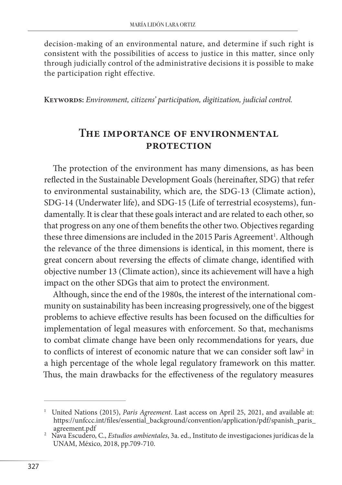decision-making of an environmental nature, and determine if such right is consistent with the possibilities of access to justice in this matter, since only through judicially control of the administrative decisions it is possible to make the participation right effective.

**Keywords:** *Environment, citizens' participation, digitization, judicial control.*

#### **The importance of environmental protection**

The protection of the environment has many dimensions, as has been reflected in the Sustainable Development Goals (hereinafter, SDG) that refer to environmental sustainability, which are, the SDG-13 (Climate action), SDG-14 (Underwater life), and SDG-15 (Life of terrestrial ecosystems), fundamentally. It is clear that these goals interact and are related to each other, so that progress on any one of them benefits the other two. Objectives regarding these three dimensions are included in the 2015 Paris Agreement<sup>1</sup>. Although the relevance of the three dimensions is identical, in this moment, there is great concern about reversing the effects of climate change, identified with objective number 13 (Climate action), since its achievement will have a high impact on the other SDGs that aim to protect the environment.

Although, since the end of the 1980s, the interest of the international community on sustainability has been increasing progressively, one of the biggest problems to achieve effective results has been focused on the difficulties for implementation of legal measures with enforcement. So that, mechanisms to combat climate change have been only recommendations for years, due to conflicts of interest of economic nature that we can consider soft law<sup>2</sup> in a high percentage of the whole legal regulatory framework on this matter. Thus, the main drawbacks for the effectiveness of the regulatory measures

<sup>&</sup>lt;sup>1</sup> United Nations (2015), *Paris Agreement*. Last access on April 25, 2021, and available at: https://unfccc.int/files/essential\_background/convention/application/pdf/spanish\_paris\_

<sup>&</sup>lt;sup>2</sup> Nava Escudero, C., *Estudios ambientales*, 3a. ed., Instituto de investigaciones jurídicas de la UNAM, México, 2018, pp.709-710.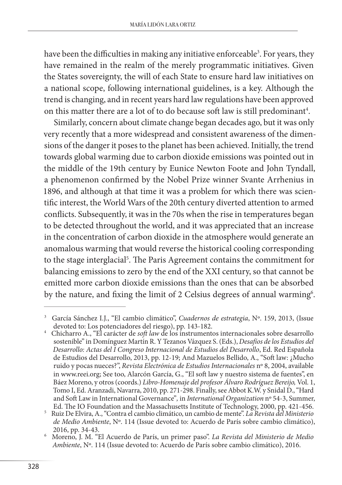have been the difficulties in making any initiative enforceable<sup>3</sup>. For years, they have remained in the realm of the merely programmatic initiatives. Given the States sovereignty, the will of each State to ensure hard law initiatives on a national scope, following international guidelines, is a key. Although the trend is changing, and in recent years hard law regulations have been approved on this matter there are a lot of to do because soft law is still predominant $^{\rm 4}.$ 

Similarly, concern about climate change began decades ago, but it was only very recently that a more widespread and consistent awareness of the dimensions of the danger it poses to the planet has been achieved. Initially, the trend towards global warming due to carbon dioxide emissions was pointed out in the middle of the 19th century by Eunice Newton Foote and John Tyndall, a phenomenon confirmed by the Nobel Prize winner Svante Arrhenius in 1896, and although at that time it was a problem for which there was scientific interest, the World Wars of the 20th century diverted attention to armed conflicts. Subsequently, it was in the 70s when the rise in temperatures began to be detected throughout the world, and it was appreciated that an increase in the concentration of carbon dioxide in the atmosphere would generate an anomalous warming that would reverse the historical cooling corresponding to the stage interglacial<sup>5</sup>. The Paris Agreement contains the commitment for balancing emissions to zero by the end of the XXI century, so that cannot be emitted more carbon dioxide emissions than the ones that can be absorbed by the nature, and fixing the limit of 2 Celsius degrees of annual warming<sup>6</sup>.

García Sánchez I.J., "El cambio climático", *Cuadernos de estrategia*, Nº. 159, 2013, (Issue devoted to: Los potenciadores del riesgo), pp. 143-182.

<sup>&</sup>lt;sup>4</sup> Chicharro A., "El carácter de *soft law* de los instrumentos internacionales sobre desarrollo sostenible" in Domínguez Martín R. Y Tezanos Vázquez S. (Eds.), *Desafíos de los Estudios del Desarrollo: Actas del I Congreso Internacional de Estudios del Desarrollo*, Ed. Red Española de Estudios del Desarrollo, 2013, pp. 12-19; And Mazuelos Bellido, A., "Soft law: ¿Mucho ruido y pocas nueces?", *Revista Electrónica de Estudios Internacionales* nº 8, 2004, available in www.reei.org; See too, Alarcón García, G., "El soft law y nuestro sistema de fuentes", en Báez Moreno, y otros (coords.) *Libro-Homenaje del profesor Álvaro Rodríguez Bereijo,* Vol. 1, Tomo I, Ed. Aranzadi, Navarra, 2010, pp. 271-298. Finally, see Abbot K.W. y Snidal D., "Hard and Soft Law in International Governance"*,* in *International Organization* nº 54-3, Summer,

Ed. The IO Foundation and the Massachusetts Institute of Technology, 2000, pp. 421-456. <sup>5</sup> Ruiz De Elvira, A., "Contra el cambio climático, un cambio de mente". *La Revista del Ministerio de Medio Ambiente*, Nº. 114 (Issue devoted to: Acuerdo de París sobre cambio climático),

<sup>2016,</sup> pp. 34-43. <sup>6</sup> Moreno, J. M. "El Acuerdo de París, un primer paso". *La Revista del Ministerio de Medio Ambiente*, Nº. 114 (Issue devoted to: Acuerdo de París sobre cambio climático), 2016.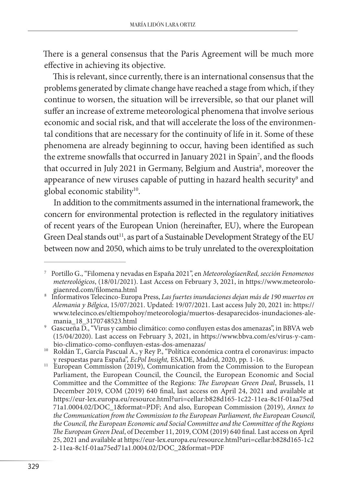There is a general consensus that the Paris Agreement will be much more effective in achieving its objective.

This is relevant, since currently, there is an international consensus that the problems generated by climate change have reached a stage from which, if they continue to worsen, the situation will be irreversible, so that our planet will suffer an increase of extreme meteorological phenomena that involve serious economic and social risk, and that will accelerate the loss of the environmental conditions that are necessary for the continuity of life in it. Some of these phenomena are already beginning to occur, having been identified as such the extreme snowfalls that occurred in January 2021 in Spain<sup>7</sup>, and the floods that occurred in July 2021 in Germany, Belgium and Austria<sup>8</sup>, moreover the appearance of new viruses capable of putting in hazard health security<sup>9</sup> and global economic stability<sup>10</sup>.

In addition to the commitments assumed in the international framework, the concern for environmental protection is reflected in the regulatory initiatives of recent years of the European Union (hereinafter, EU), where the European Green Deal stands out<sup>11</sup>, as part of a Sustainable Development Strategy of the EU between now and 2050, which aims to be truly unrelated to the overexploitation

<sup>7</sup> Portillo G., "Filomena y nevadas en España 2021", en *MeteorologíaenRed, sección Fenomenos metereológicos*, (18/01/2021). Last Access on February 3, 2021, in https://www.meteorolo-

giaenred.com/filomena.html<br>Informativos Telecinco-Europa Press, *Las fuertes inundaciones dejan más de 190 muertos en Alemania y Bélgica*, 15/07/2021. Updated: 19/07/2021. Last access July 20, 2021 in: https:// www.telecinco.es/eltiempohoy/meteorologia/muertos-desaparecidos-inundaciones-ale-

<sup>&</sup>lt;sup>9</sup> Gascueña D., "Virus y cambio climático: como confluyen estas dos amenazas", in BBVA web (15/04/2020). Last access on February 3, 2021, in https://www.bbva.com/es/virus-y-cam-

<sup>&</sup>lt;sup>10</sup> Roldán T., García Pascual A., y Rey P., "Política económica contra el coronavirus: impacto y respuestas para España", *EcPol Insight,* ESADE, Madrid, 2020, pp. 1-16. <sup>11</sup> European Commission (2019), Communication from the Commission to the European

Parliament, the European Council, the Council, the European Economic and Social Committee and the Committee of the Regions: *The European Green Deal*, Brussels, 11 December 2019, COM (2019) 640 final, last access on April 24, 2021 and available at https://eur-lex.europa.eu/resource.html?uri=cellar:b828d165-1c22-11ea-8c1f-01aa75ed 71a1.0004.02/DOC\_1&format=PDF; And also, European Commission (2019), *Annex to the Communication from the Commission to the European Parliament, the European Council, the Council, the European Economic and Social Committee and the Committee of the Regions The European Green Deal*, of December 11, 2019, COM (2019) 640 final. Last access on April 25, 2021 and available at https://eur-lex.europa.eu/resource.html?uri=cellar:b828d165-1c2 2-11ea-8c1f-01aa75ed71a1.0004.02/DOC\_2&format=PDF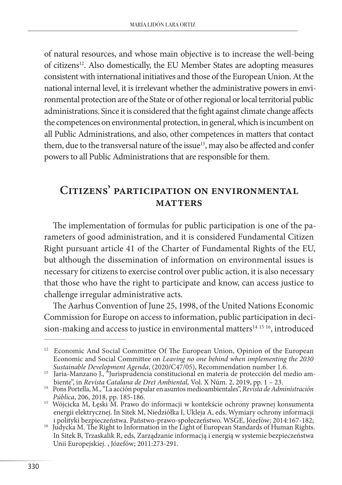of natural resources, and whose main objective is to increase the well-being of citizens<sup>12</sup>. Also domestically, the EU Member States are adopting measures consistent with international initiatives and those of the European Union. At the national internal level, it is irrelevant whether the administrative powers in environmental protection are of the State or of other regional or local territorial public administrations. Since it is considered that the fight against climate change affects the competences on environmental protection, in general, which is incumbent on all Public Administrations, and also, other competences in matters that contact them, due to the transversal nature of the issue<sup>13</sup>, may also be affected and confer powers to all Public Administrations that are responsible for them.

## **Citizens' participation on environmental matters**

The implementation of formulas for public participation is one of the parameters of good administration, and it is considered Fundamental Citizen Right pursuant article 41 of the Charter of Fundamental Rights of the EU, but although the dissemination of information on environmental issues is necessary for citizens to exercise control over public action, it is also necessary that those who have the right to participate and know, can access justice to challenge irregular administrative acts.

The Aarhus Convention of June 25, 1998, of the United Nations Economic Commission for Europe on access to information, public participation in decision-making and access to justice in environmental matters<sup>14 15 16</sup>, introduced

<sup>12</sup> Economic And Social Committee Of The European Union, Opinion of the European Economic and Social Committee on *Leaving no one behind when implementing the 2030* 

*Sustainable Development Agenda*, (2020/C47/05), Recommendation number 1.6. Jaria-Manzano J., "Jurisprudencia constitucional en materia de protección del medio ambiente", in *Revista Catalana de Dret Ambiental*, Vol. X Núm

<sup>&</sup>lt;sup>14</sup> Pons Portella, M., "La acción popular en asuntos medioambientales", *Revista de Administración Pública*, 206, 2018, pp. 185-186.

<sup>&</sup>lt;sup>15</sup> Wójcicka M, Łęski M. Prawo do informacji w kontekście ochrony prawnej konsumenta energii elektrycznej. In Sitek M, Niedziółka I, Ukleja A, eds, Wymiary ochrony informacji i polityki bezpieczeństwa. Państwo-prawo-społeczeństwo. WSGE, Józefów; 2014:167-182;<br>16 Judycka M. The Right to Information in the Light of European Standards of Human Rights.

In Sitek B, Trzaskalik R, eds, Zarządzanie informacją i energią w systemie bezpieczeństwa Unii Europejskiej. , Józefów; 2011:273-291.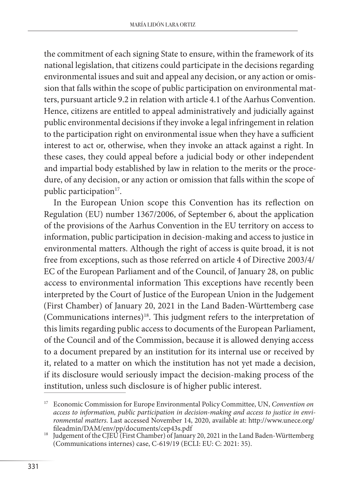the commitment of each signing State to ensure, within the framework of its national legislation, that citizens could participate in the decisions regarding environmental issues and suit and appeal any decision, or any action or omission that falls within the scope of public participation on environmental matters, pursuant article 9.2 in relation with article 4.1 of the Aarhus Convention. Hence, citizens are entitled to appeal administratively and judicially against public environmental decisions if they invoke a legal infringement in relation to the participation right on environmental issue when they have a sufficient interest to act or, otherwise, when they invoke an attack against a right. In these cases, they could appeal before a judicial body or other independent and impartial body established by law in relation to the merits or the procedure, of any decision, or any action or omission that falls within the scope of public participation<sup>17</sup>.

In the European Union scope this Convention has its reflection on Regulation (EU) number 1367/2006, of September 6, about the application of the provisions of the Aarhus Convention in the EU territory on access to information, public participation in decision-making and access to justice in environmental matters. Although the right of access is quite broad, it is not free from exceptions, such as those referred on article 4 of Directive 2003/4/ EC of the European Parliament and of the Council, of January 28, on public access to environmental information This exceptions have recently been interpreted by the Court of Justice of the European Union in the Judgement (First Chamber) of January 20, 2021 in the Land Baden-Württemberg case (Communications internes)18. This judgment refers to the interpretation of this limits regarding public access to documents of the European Parliament, of the Council and of the Commission, because it is allowed denying access to a document prepared by an institution for its internal use or received by it, related to a matter on which the institution has not yet made a decision, if its disclosure would seriously impact the decision-making process of the institution, unless such disclosure is of higher public interest.

<sup>17</sup> Economic Commission for Europe Environmental Policy Committee, UN, *Convention on access to information, public participation in decision-making and access to justice in environmental matters*. Last accessed November 14, 2020, available at: http://www.unece.org/

<sup>&</sup>lt;sup>18</sup> Judgement of the CJEU (First Chamber) of January 20, 2021 in the Land Baden-Württemberg (Communications internes) case, C-619/19 (ECLI: EU: C: 2021: 35).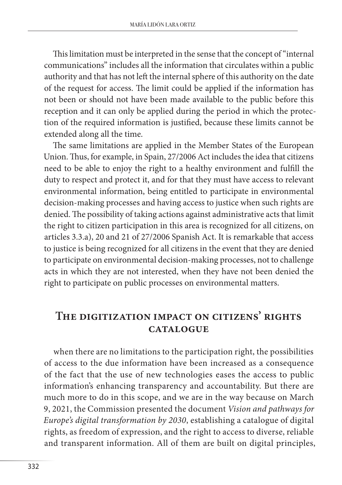This limitation must be interpreted in the sense that the concept of "internal communications" includes all the information that circulates within a public authority and that has not left the internal sphere of this authority on the date of the request for access. The limit could be applied if the information has not been or should not have been made available to the public before this reception and it can only be applied during the period in which the protection of the required information is justified, because these limits cannot be extended along all the time.

The same limitations are applied in the Member States of the European Union. Thus, for example, in Spain, 27/2006 Act includes the idea that citizens need to be able to enjoy the right to a healthy environment and fulfill the duty to respect and protect it, and for that they must have access to relevant environmental information, being entitled to participate in environmental decision-making processes and having access to justice when such rights are denied. The possibility of taking actions against administrative acts that limit the right to citizen participation in this area is recognized for all citizens, on articles 3.3.a), 20 and 21 of 27/2006 Spanish Act. It is remarkable that access to justice is being recognized for all citizens in the event that they are denied to participate on environmental decision-making processes, not to challenge acts in which they are not interested, when they have not been denied the right to participate on public processes on environmental matters.

### **The digitization impact on citizens' rights catalogue**

when there are no limitations to the participation right, the possibilities of access to the due information have been increased as a consequence of the fact that the use of new technologies eases the access to public information's enhancing transparency and accountability. But there are much more to do in this scope, and we are in the way because on March 9, 2021, the Commission presented the document *Vision and pathways for Europe's digital transformation by 2030*, establishing a catalogue of digital rights, as freedom of expression, and the right to access to diverse, reliable and transparent information. All of them are built on digital principles,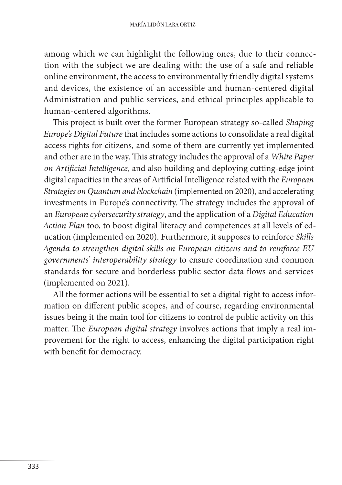among which we can highlight the following ones, due to their connection with the subject we are dealing with: the use of a safe and reliable online environment, the access to environmentally friendly digital systems and devices, the existence of an accessible and human-centered digital Administration and public services, and ethical principles applicable to human-centered algorithms.

This project is built over the former European strategy so-called *Shaping Europe's Digital Future* that includes some actions to consolidate a real digital access rights for citizens, and some of them are currently yet implemented and other are in the way. This strategy includes the approval of a *White Paper on Artificial Intelligence*, and also building and deploying cutting-edge joint digital capacities in the areas of Artificial Intelligence related with the *European Strategies on Quantum and blockchain* (implemented on 2020), and accelerating investments in Europe's connectivity. The strategy includes the approval of an *European cybersecurity strategy*, and the application of a *Digital Education Action Plan* too, to boost digital literacy and competences at all levels of education (implemented on 2020). Furthermore, it supposes to reinforce *Skills Agenda to strengthen digital skills on European citizens and to reinforce EU governments' interoperability strategy* to ensure coordination and common standards for secure and borderless public sector data flows and services (implemented on 2021).

All the former actions will be essential to set a digital right to access information on different public scopes, and of course, regarding environmental issues being it the main tool for citizens to control de public activity on this matter. The *European digital strategy* involves actions that imply a real improvement for the right to access, enhancing the digital participation right with benefit for democracy.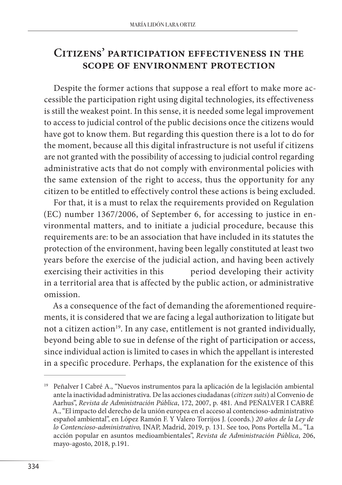### **Citizens' participation effectiveness in the scope of environment protection**

Despite the former actions that suppose a real effort to make more accessible the participation right using digital technologies, its effectiveness is still the weakest point. In this sense, it is needed some legal improvement to access to judicial control of the public decisions once the citizens would have got to know them. But regarding this question there is a lot to do for the moment, because all this digital infrastructure is not useful if citizens are not granted with the possibility of accessing to judicial control regarding administrative acts that do not comply with environmental policies with the same extension of the right to access, thus the opportunity for any citizen to be entitled to effectively control these actions is being excluded.

For that, it is a must to relax the requirements provided on Regulation (EC) number 1367/2006, of September 6, for accessing to justice in environmental matters, and to initiate a judicial procedure, because this requirements are: to be an association that have included in its statutes the protection of the environment, having been legally constituted at least two years before the exercise of the judicial action, and having been actively exercising their activities in this period developing their activity in a territorial area that is affected by the public action, or administrative omission.

As a consequence of the fact of demanding the aforementioned requirements, it is considered that we are facing a legal authorization to litigate but not a citizen action<sup>19</sup>. In any case, entitlement is not granted individually, beyond being able to sue in defense of the right of participation or access, since individual action is limited to cases in which the appellant is interested in a specific procedure. Perhaps, the explanation for the existence of this

<sup>19</sup> Peñalver I Cabré A., "Nuevos instrumentos para la aplicación de la legislación ambiental ante la inactividad administrativa. De las acciones ciudadanas (*citizen suits*) al Convenio de Aarhus", *Revista de Administración Pública*, 172, 2007, p. 481. And PEÑALVER I CABRÉ A., "El impacto del derecho de la unión europea en el acceso al contencioso-administrativo español ambiental", en López Ramón F. Y Valero Torrijos J. (coords.) *20 años de la Ley de lo Contencioso-administrativo,* INAP, Madrid, 2019, p. 131. See too, Pons Portella M., "La acción popular en asuntos medioambientales", *Revista de Administración Pública*, 206, mayo-agosto, 2018, p.191.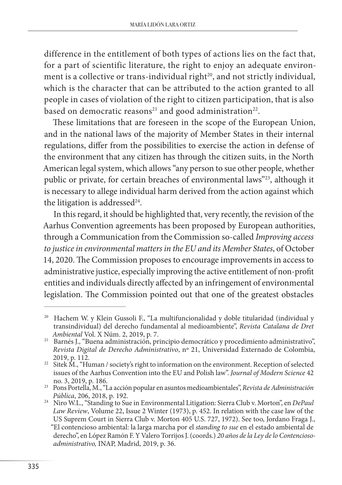difference in the entitlement of both types of actions lies on the fact that, for a part of scientific literature, the right to enjoy an adequate environment is a collective or trans-individual right<sup>20</sup>, and not strictly individual, which is the character that can be attributed to the action granted to all people in cases of violation of the right to citizen participation, that is also based on democratic reasons<sup>21</sup> and good administration<sup>22</sup>.

These limitations that are foreseen in the scope of the European Union, and in the national laws of the majority of Member States in their internal regulations, differ from the possibilities to exercise the action in defense of the environment that any citizen has through the citizen suits, in the North American legal system, which allows "any person to sue other people, whether public or private, for certain breaches of environmental laws"<sup>23</sup>, although it is necessary to allege individual harm derived from the action against which the litigation is addressed $24$ .

In this regard, it should be highlighted that, very recently, the revision of the Aarhus Convention agreements has been proposed by European authorities, through a Communication from the Commission so-called *Improving access to justice in environmental matters in the EU and its Member States*, of October 14, 2020. The Commission proposes to encourage improvements in access to administrative justice, especially improving the active entitlement of non-profit entities and individuals directly affected by an infringement of environmental legislation. The Commission pointed out that one of the greatest obstacles

<sup>&</sup>lt;sup>20</sup> Hachem W. y Klein Gussoli F., "La multifuncionalidad y doble titularidad (individual y transindividual) del derecho fundamental al medioambiente", *Revista Catalana de Dret* 

<sup>&</sup>lt;sup>21</sup> Barnés J., "Buena administración, principio democrático y procedimiento administrativo", *Revista Digital de Derecho Administrativo*, nº 21, Universidad Externado de Colombia,

<sup>&</sup>lt;sup>22</sup> Sitek M., "Human / society's right to information on the environment. Reception of selected issues of the Aarhus Convention into the EU and Polish law". *Journal of Modern Science* 42

no. 3, 2019, p. 186. <sup>23</sup> Pons Portella, M., "La acción popular en asuntos medioambientales", *Revista de Administración* 

*Pública*, 206, 2018, p. 192. <sup>24</sup> Niro W.L., "Standing to Sue in Environmental Litigation: Sierra Club v. Morton", en *DePaul Law Review*, Volume 22, Issue 2 Winter (1973), p. 452. In relation with the case law of the US Suprem Court in Sierra Club v. Morton 405 U.S. 727, 1972). See too, Jordano Fraga J., "El contencioso ambiental: la larga marcha por el *standing to sue* en el estado ambiental de derecho", en López Ramón F. Y Valero Torrijos J. (coords.) *20 años de la Ley de lo Contenciosoadministrativo,* INAP, Madrid, 2019, p. 36.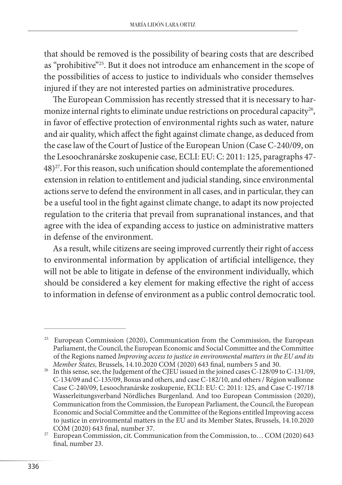that should be removed is the possibility of bearing costs that are described as "prohibitive"25. But it does not introduce am enhancement in the scope of the possibilities of access to justice to individuals who consider themselves injured if they are not interested parties on administrative procedures.

The European Commission has recently stressed that it is necessary to harmonize internal rights to eliminate undue restrictions on procedural capacity<sup>26</sup>, in favor of effective protection of environmental rights such as water, nature and air quality, which affect the fight against climate change, as deduced from the case law of the Court of Justice of the European Union (Case C-240/09, on the Lesoochranárske zoskupenie case, ECLI: EU: C: 2011: 125, paragraphs 47- 48)27. For this reason, such unification should contemplate the aforementioned extension in relation to entitlement and judicial standing, since environmental actions serve to defend the environment in all cases, and in particular, they can be a useful tool in the fight against climate change, to adapt its now projected regulation to the criteria that prevail from supranational instances, and that agree with the idea of expanding access to justice on administrative matters in defense of the environment.

As a result, while citizens are seeing improved currently their right of access to environmental information by application of artificial intelligence, they will not be able to litigate in defense of the environment individually, which should be considered a key element for making effective the right of access to information in defense of environment as a public control democratic tool.

<sup>25</sup> European Commission (2020), Communication from the Commission, the European Parliament, the Council, the European Economic and Social Committee and the Committee of the Regions named *Improving access to justice in environmental matters in the EU and its* 

*Member States*, Brussels, 14.10.2020 COM (2020) 643 final, numbers 5 and 30.<br>In this sense, see, the Judgement of the CJEU issued in the joined cases C-128/09 to C-131/09, C-134/09 and C-135/09, Boxus and others, and case C-182/10, and others / Région wallonne Case C-240/09, Lesoochranárske zoskupenie, ECLI: EU: C: 2011: 125, and Case C-197/18 Wasserleitungsverband Nördliches Burgenland. And too European Commission (2020), Communication from the Commission, the European Parliament, the Council, the European Economic and Social Committee and the Committee of the Regions entitled Improving access to justice in environmental matters in the EU and its Member States, Brussels, 14.10.2020<br>COM (2020) 643 final, number 37.

<sup>&</sup>lt;sup>27</sup> European Commission, cit. Communication from the Commission, to… COM (2020) 643 final, number 23.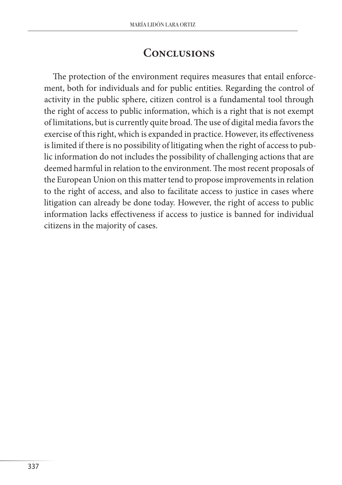### **Conclusions**

The protection of the environment requires measures that entail enforcement, both for individuals and for public entities. Regarding the control of activity in the public sphere, citizen control is a fundamental tool through the right of access to public information, which is a right that is not exempt of limitations, but is currently quite broad. The use of digital media favors the exercise of this right, which is expanded in practice. However, its effectiveness is limited if there is no possibility of litigating when the right of access to public information do not includes the possibility of challenging actions that are deemed harmful in relation to the environment. The most recent proposals of the European Union on this matter tend to propose improvements in relation to the right of access, and also to facilitate access to justice in cases where litigation can already be done today. However, the right of access to public information lacks effectiveness if access to justice is banned for individual citizens in the majority of cases.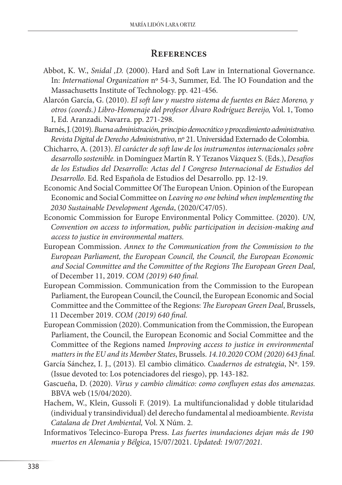#### **References**

- Abbot, K. W., *Snidal ,D.* (2000). Hard and Soft Law in International Governance. In: *International Organization* nº 54-3, Summer, Ed. The IO Foundation and the Massachusetts Institute of Technology. pp. 421-456.
- Alarcón García, G. (2010). *El soft law y nuestro sistema de fuentes en Báez Moreno, y otros (coords.) Libro-Homenaje del profesor Álvaro Rodríguez Bereijo,* Vol. 1, Tomo I, Ed. Aranzadi. Navarra. pp. 271-298.
- Barnés, J. (2019). *Buena administración, principio democrático y procedimiento administrativo. Revista Digital de Derecho Administrativo*, nº 21. Universidad Externado de Colombia.
- Chicharro, A. (2013). *El carácter de soft law de los instrumentos internacionales sobre desarrollo sostenible.* in Domínguez Martín R. Y Tezanos Vázquez S. (Eds.), *Desafíos de los Estudios del Desarrollo: Actas del I Congreso Internacional de Estudios del Desarrollo*. Ed. Red Española de Estudios del Desarrollo. pp. 12-19.
- Economic And Social Committee Of The European Union. Opinion of the European Economic and Social Committee on *Leaving no one behind when implementing the 2030 Sustainable Development Agenda*, (2020/C47/05).
- Economic Commission for Europe Environmental Policy Committee. (2020). *UN, Convention on access to information, public participation in decision-making and access to justice in environmental matters.*
- European Commission. *Annex to the Communication from the Commission to the European Parliament, the European Council, the Council, the European Economic and Social Committee and the Committee of the Regions The European Green Deal*, of December 11, 2019. *COM (2019) 640 final.*
- European Commission. Communication from the Commission to the European Parliament, the European Council, the Council, the European Economic and Social Committee and the Committee of the Regions: *The European Green Deal*, Brussels, 11 December 2019. *COM (2019) 640 final.*
- European Commission (2020). Communication from the Commission, the European Parliament, the Council, the European Economic and Social Committee and the Committee of the Regions named *Improving access to justice in environmental matters in the EU and its Member States*, Brussels. *14.10.2020 COM (2020) 643 final.*
- García Sánchez, I. J., (2013)*.* El cambio climático. *Cuadernos de estrategia*, Nº. 159. (Issue devoted to: Los potenciadores del riesgo), pp. 143-182.
- Gascueña, D. (2020). *Virus y cambio climático: como confluyen estas dos amenazas.*  BBVA web (15/04/2020).
- Hachem, W., Klein, Gussoli F. (2019)*.* La multifuncionalidad y doble titularidad (individual y transindividual) del derecho fundamental al medioambiente. *Revista Catalana de Dret Ambiental,* Vol. X Núm. 2.
- Informativos Telecinco-Europa Press. *Las fuertes inundaciones dejan más de 190 muertos en Alemania y Bélgica*, 15/07/2021. *Updated: 19/07/2021.*